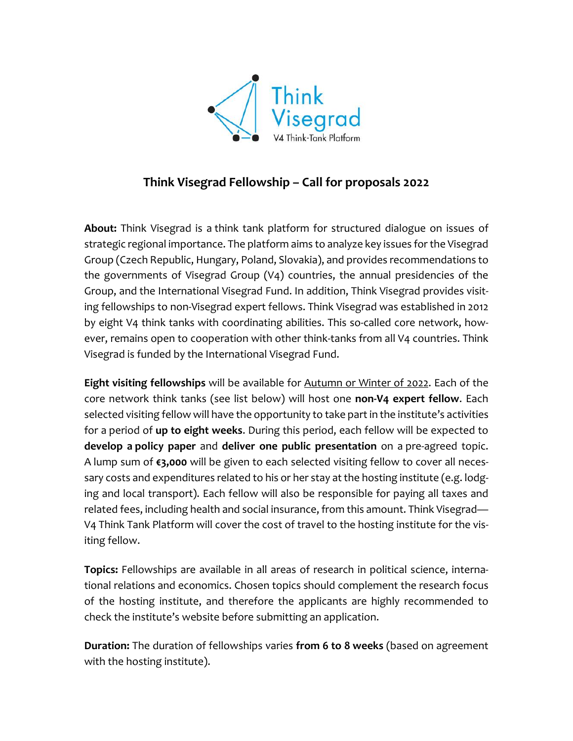

## **Think Visegrad Fellowship – Call for proposals 2022**

**About:** Think Visegrad is a think tank platform for structured dialogue on issues of strategic regional importance. The platform aims to analyze key issues for the Visegrad Group (Czech Republic, Hungary, Poland, Slovakia), and provides recommendations to the governments of Visegrad Group (V4) countries, the annual presidencies of the Group, and the International Visegrad Fund. In addition, Think Visegrad provides visiting fellowships to non-Visegrad expert fellows. Think Visegrad was established in 2012 by eight V4 think tanks with coordinating abilities. This so-called core network, however, remains open to cooperation with other think-tanks from all V4 countries. Think Visegrad is funded by the International Visegrad Fund.

**Eight visiting fellowships** will be available for Autumn or Winter of 2022. Each of the core network think tanks (see list below) will host one **non-V4 expert fellow**. Each selected visiting fellow will have the opportunity to take part in the institute's activities for a period of **up to eight weeks**. During this period, each fellow will be expected to **develop a policy paper** and **deliver one public presentation** on a pre-agreed topic. A lump sum of **€3,000** will be given to each selected visiting fellow to cover all necessary costs and expenditures related to his or her stay at the hosting institute (e.g. lodging and local transport). Each fellow will also be responsible for paying all taxes and related fees, including health and social insurance, from this amount. Think Visegrad*—* V4 Think Tank Platform will cover the cost of travel to the hosting institute for the visiting fellow.

**Topics:** Fellowships are available in all areas of research in political science, international relations and economics. Chosen topics should complement the research focus of the hosting institute, and therefore the applicants are highly recommended to check the institute's website before submitting an application.

**Duration:** The duration of fellowships varies **from 6 to 8 weeks** (based on agreement with the hosting institute).